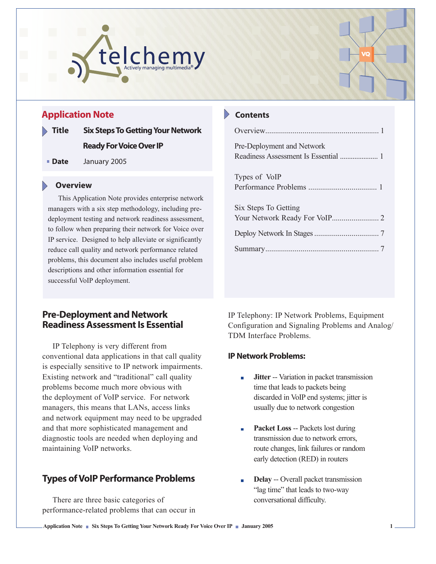



# **Application Note**

- **Title Six Steps To Getting Your Network Ready For Voice Over IP**
- **Date** January 2005

### **Overview**

This Application Note provides enterprise network managers with a six step methodology, including predeployment testing and network readiness assessment, to follow when preparing their network for Voice over IP service. Designed to help alleviate or significantly reduce call quality and network performance related problems, this document also includes useful problem descriptions and other information essential for successful VoIP deployment.

## **Pre-Deployment and Network Readiness Assessment Is Essential**

IP Telephony is very different from conventional data applications in that call quality is especially sensitive to IP network impairments. Existing network and "traditional" call quality problems become much more obvious with the deployment of VoIP service. For network managers, this means that LANs, access links and network equipment may need to be upgraded and that more sophisticated management and diagnostic tools are needed when deploying and maintaining VoIP networks.

# **Types of VoIP Performance Problems**

There are three basic categories of performance-related problems that can occur in

### **Contents**

| Pre-Deployment and Network |
|----------------------------|
|                            |
| Types of VoIP              |
|                            |
| Six Steps To Getting       |
|                            |
|                            |
|                            |
|                            |

IP Telephony: IP Network Problems, Equipment Configuration and Signaling Problems and Analog/ TDM Interface Problems.

### **IP Network Problems:**

- **Jitter** -- Variation in packet transmission m. time that leads to packets being discarded in VoIP end systems; jitter is usually due to network congestion
- **Packet Loss** -- Packets lost during transmission due to network errors, route changes, link failures or random early detection (RED) in routers
- **Delay** -- Overall packet transmission "lag time" that leads to two-way conversational difficulty.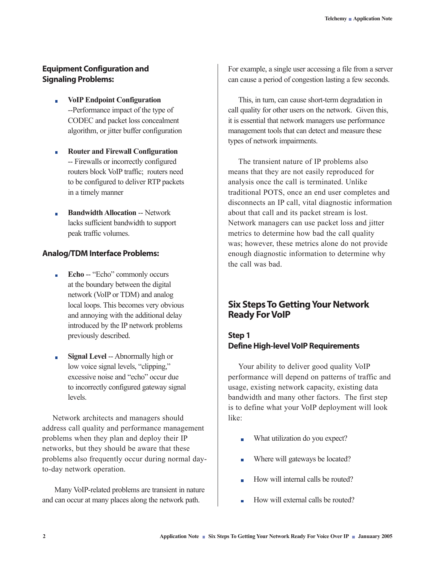## **Equipment Configuration and Signaling Problems:**

- **VoIP Endpoint Configuration**  $\overline{\mathbb{R}}$ --Performance impact of the type of CODEC and packet loss concealment algorithm, or jitter buffer configuration
- **Router and Firewall Configuration**  $\blacksquare$ -- Firewalls or incorrectly configured routers block VoIP traffic; routers need to be configured to deliver RTP packets in a timely manner
- **Bandwidth Allocation** -- Network  $\blacksquare$ lacks sufficient bandwidth to support peak traffic volumes.

### **Analog/TDM Interface Problems:**

- **Echo** -- "Echo" commonly occurs  $\blacksquare$ at the boundary between the digital network (VoIP or TDM) and analog local loops. This becomes very obvious and annoying with the additional delay introduced by the IP network problems previously described.
- **Signal Level** -- Abnormally high or  $\mathcal{L}_{\text{max}}$ low voice signal levels, "clipping," excessive noise and "echo" occur due to incorrectly configured gateway signal **levels**.

Network architects and managers should address call quality and performance management problems when they plan and deploy their IP networks, but they should be aware that these problems also frequently occur during normal dayto-day network operation.

 Many VoIP-related problems are transient in nature and can occur at many places along the network path.

For example, a single user accessing a file from a server can cause a period of congestion lasting a few seconds.

This, in turn, can cause short-term degradation in call quality for other users on the network. Given this, it is essential that network managers use performance management tools that can detect and measure these types of network impairments.

The transient nature of IP problems also means that they are not easily reproduced for analysis once the call is terminated. Unlike traditional POTS, once an end user completes and disconnects an IP call, vital diagnostic information about that call and its packet stream is lost. Network managers can use packet loss and jitter metrics to determine how bad the call quality was; however, these metrics alone do not provide enough diagnostic information to determine why the call was bad.

# **Six Steps To Getting Your Network Ready For VoIP**

# **Step 1 Define High-level VoIP Requirements**

Your ability to deliver good quality VoIP performance will depend on patterns of traffic and usage, existing network capacity, existing data bandwidth and many other factors. The first step is to define what your VoIP deployment will look like:

- What utilization do you expect? Ē
- Where will gateways be located? ń
- How will internal calls be routed?
- How will external calls be routed?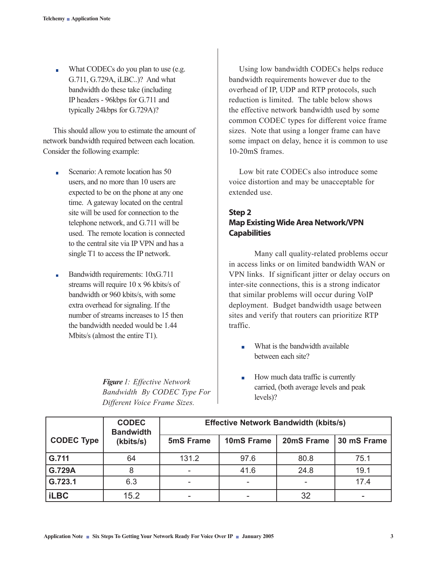What CODECs do you plan to use (e.g.  $\overline{\phantom{0}}$ G.711, G.729A, iLBC..)? And what bandwidth do these take (including IP headers - 96kbps for G.711 and typically 24kbps for G.729A)?

This should allow you to estimate the amount of network bandwidth required between each location. Consider the following example:

- Scenario: A remote location has 50  $\blacksquare$ users, and no more than 10 users are expected to be on the phone at any one time. A gateway located on the central site will be used for connection to the telephone network, and G.711 will be used. The remote location is connected to the central site via IP VPN and has a single T1 to access the IP network.
- Bandwidth requirements: 10xG.711  $\blacksquare$ streams will require 10 x 96 kbits/s of bandwidth or 960 kbits/s, with some extra overhead for signaling. If the number of streams increases to 15 then the bandwidth needed would be 1.44 Mbits/s (almost the entire T1).

*Figure 1: Effective Network Bandwidth By CODEC Type For Different Voice Frame Sizes.* 

Using low bandwidth CODECs helps reduce bandwidth requirements however due to the overhead of IP, UDP and RTP protocols, such reduction is limited. The table below shows the effective network bandwidth used by some common CODEC types for different voice frame sizes. Note that using a longer frame can have some impact on delay, hence it is common to use 10-20mS frames.

Low bit rate CODECs also introduce some voice distortion and may be unacceptable for extended use.

## **Step 2 Map Existing Wide Area Network/VPN Capabilities**

Many call quality-related problems occur in access links or on limited bandwidth WAN or VPN links. If significant jitter or delay occurs on inter-site connections, this is a strong indicator that similar problems will occur during VoIP deployment. Budget bandwidth usage between sites and verify that routers can prioritize RTP traffic.

- What is the bandwidth available  $\mathbf{r}$ between each site?
- How much data traffic is currently  $\overline{\phantom{a}}$ carried, (both average levels and peak levels)?

|                   | <b>CODEC</b><br><b>Bandwidth</b> | <b>Effective Network Bandwidth (kbits/s)</b> |            |            |             |
|-------------------|----------------------------------|----------------------------------------------|------------|------------|-------------|
| <b>CODEC Type</b> | (kbits/s)                        | 5mS Frame                                    | 10mS Frame | 20mS Frame | 30 mS Frame |
| G.711             | 64                               | 131.2                                        | 97.6       | 80.8       | 75.1        |
| G.729A            | 8                                |                                              | 41.6       | 24.8       | 19.1        |
| G.723.1           | 6.3                              |                                              |            | ۰          | 17.4        |
| <b>iLBC</b>       | 15.2                             |                                              |            | 32         |             |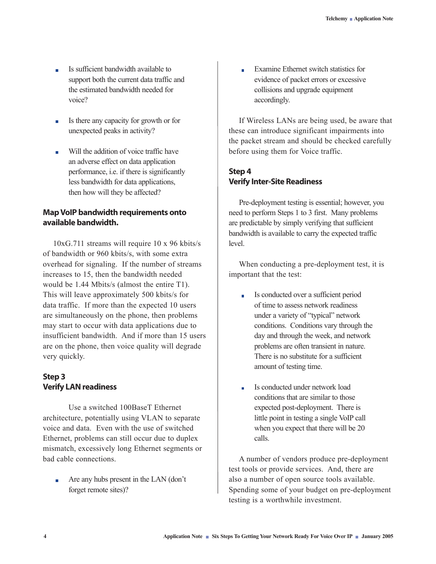- Is sufficient bandwidth available to  $\overline{\phantom{0}}$ support both the current data traffic and the estimated bandwidth needed for voice?
- Is there any capacity for growth or for  $\blacksquare$ unexpected peaks in activity?
- Will the addition of voice traffic have  $\blacksquare$ an adverse effect on data application performance, i.e. if there is significantly less bandwidth for data applications, then how will they be affected?

### **Map VoIP bandwidth requirements onto available bandwidth.**

10xG.711 streams will require 10 x 96 kbits/s of bandwidth or 960 kbits/s, with some extra overhead for signaling. If the number of streams increases to 15, then the bandwidth needed would be 1.44 Mbits/s (almost the entire T1). This will leave approximately 500 kbits/s for data traffic. If more than the expected 10 users are simultaneously on the phone, then problems may start to occur with data applications due to insufficient bandwidth. And if more than 15 users are on the phone, then voice quality will degrade very quickly.

# **Step 3 Verify LAN readiness**

Use a switched 100BaseT Ethernet architecture, potentially using VLAN to separate voice and data. Even with the use of switched Ethernet, problems can still occur due to duplex mismatch, excessively long Ethernet segments or bad cable connections.

Are any hubs present in the LAN (don't  $\overline{\phantom{0}}$ forget remote sites)?

Examine Ethernet switch statistics for  $\blacksquare$ evidence of packet errors or excessive collisions and upgrade equipment accordingly.

If Wireless LANs are being used, be aware that these can introduce significant impairments into the packet stream and should be checked carefully before using them for Voice traffic.

# **Step 4 Verify Inter-Site Readiness**

Pre-deployment testing is essential; however, you need to perform Steps 1 to 3 first. Many problems are predictable by simply verifying that sufficient bandwidth is available to carry the expected traffic level.

When conducting a pre-deployment test, it is important that the test:

- Is conducted over a sufficient period  $\mathbf{r}$ of time to assess network readiness under a variety of "typical" network conditions. Conditions vary through the day and through the week, and network problems are often transient in nature. There is no substitute for a sufficient amount of testing time.
- Is conducted under network load  $\overline{\mathbb{R}}$ conditions that are similar to those expected post-deployment. There is little point in testing a single VoIP call when you expect that there will be 20 calls.

A number of vendors produce pre-deployment test tools or provide services. And, there are also a number of open source tools available. Spending some of your budget on pre-deployment testing is a worthwhile investment.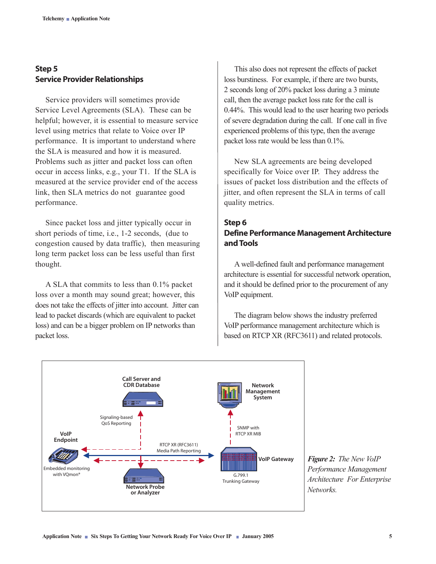## **Step 5 Service Provider Relationships**

Service providers will sometimes provide Service Level Agreements (SLA). These can be helpful; however, it is essential to measure service level using metrics that relate to Voice over IP performance. It is important to understand where the SLA is measured and how it is measured. Problems such as jitter and packet loss can often occur in access links, e.g., your T1. If the SLA is measured at the service provider end of the access link, then SLA metrics do not guarantee good performance.

Since packet loss and jitter typically occur in short periods of time, i.e., 1-2 seconds, (due to congestion caused by data traffic), then measuring long term packet loss can be less useful than first thought.

A SLA that commits to less than 0.1% packet loss over a month may sound great; however, this does not take the effects of jitter into account. Jitter can lead to packet discards (which are equivalent to packet loss) and can be a bigger problem on IP networks than packet loss.

This also does not represent the effects of packet loss burstiness. For example, if there are two bursts, 2 seconds long of 20% packet loss during a 3 minute call, then the average packet loss rate for the call is 0.44%. This would lead to the user hearing two periods of severe degradation during the call. If one call in five experienced problems of this type, then the average packet loss rate would be less than 0.1%.

New SLA agreements are being developed specifically for Voice over IP. They address the issues of packet loss distribution and the effects of jitter, and often represent the SLA in terms of call quality metrics.

### **Step 6 Define Performance Management Architecture and Tools**

A well-defined fault and performance management architecture is essential for successful network operation, and it should be defined prior to the procurement of any VoIP equipment.

The diagram below shows the industry preferred VoIP performance management architecture which is based on RTCP XR (RFC3611) and related protocols.



*Figure 2: The New VoIP Performance Management Architecture For Enterprise Networks.*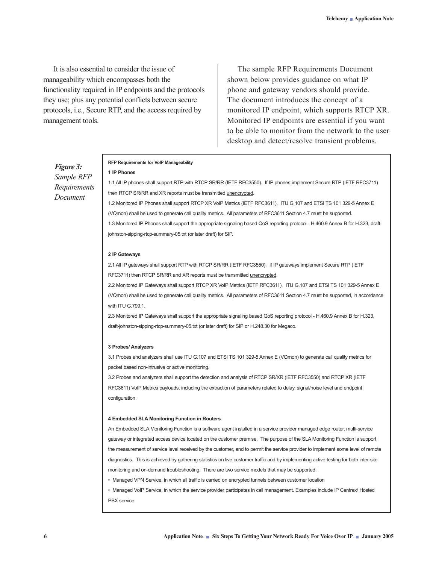It is also essential to consider the issue of manageability which encompasses both the functionality required in IP endpoints and the protocols they use; plus any potential conflicts between secure protocols, i.e., Secure RTP, and the access required by management tools.

**1 IP Phones**

The sample RFP Requirements Document shown below provides guidance on what IP phone and gateway vendors should provide. The document introduces the concept of a monitored IP endpoint, which supports RTCP XR. Monitored IP endpoints are essential if you want to be able to monitor from the network to the user desktop and detect/resolve transient problems.

### *Figure 3: Sample RFP Requirements Document*

#### **RFP Requirements for VoIP Manageability**

1.1 All IP phones shall support RTP with RTCP SR/RR (IETF RFC3550). If IP phones implement Secure RTP (IETF RFC3711) then RTCP SR/RR and XR reports must be transmitted unencrypted.

1.2 Monitored IP Phones shall support RTCP XR VoIP Metrics (IETF RFC3611). ITU G.107 and ETSI TS 101 329-5 Annex E (VQmon) shall be used to generate call quality metrics. All parameters of RFC3611 Section 4.7 must be supported. 1.3 Monitored IP Phones shall support the appropriate signaling based QoS reporting protocol - H.460.9 Annex B for H.323, draftjohnston-sipping-rtcp-summary-05.txt (or later draft) for SIP.

#### **2 IP Gateways**

2.1 All IP gateways shall support RTP with RTCP SR/RR (IETF RFC3550). If IP gateways implement Secure RTP (IETF RFC3711) then RTCP SR/RR and XR reports must be transmitted unencrypted.

2.2 Monitored IP Gateways shall support RTCP XR VoIP Metrics (IETF RFC3611). ITU G.107 and ETSI TS 101 329-5 Annex E (VQmon) shall be used to generate call quality metrics. All parameters of RFC3611 Section 4.7 must be supported, in accordance with ITU G.799.1.

2.3 Monitored IP Gateways shall support the appropriate signaling based QoS reporting protocol - H.460.9 Annex B for H.323, draft-johnston-sipping-rtcp-summary-05.txt (or later draft) for SIP or H.248.30 for Megaco.

#### **3 Probes/ Analyzers**

3.1 Probes and analyzers shall use ITU G.107 and ETSI TS 101 329-5 Annex E (VQmon) to generate call quality metrics for packet based non-intrusive or active monitoring.

3.2 Probes and analyzers shall support the detection and analysis of RTCP SR/XR (IETF RFC3550) and RTCP XR (IETF RFC3611) VoIP Metrics payloads, including the extraction of parameters related to delay, signal/noise level and endpoint configuration.

#### **4 Embedded SLA Monitoring Function in Routers**

An Embedded SLA Monitoring Function is a software agent installed in a service provider managed edge router, multi-service gateway or integrated access device located on the customer premise. The purpose of the SLA Monitoring Function is support the measurement of service level received by the customer, and to permit the service provider to implement some level of remote diagnostics. This is achieved by gathering statistics on live customer traffic and by implementing active testing for both inter-site monitoring and on-demand troubleshooting. There are two service models that may be supported:

• Managed VPN Service, in which all traffic is carried on encrypted tunnels between customer location

• Managed VoIP Service, in which the service provider participates in call management. Examples include IP Centrex/ Hosted PBX service.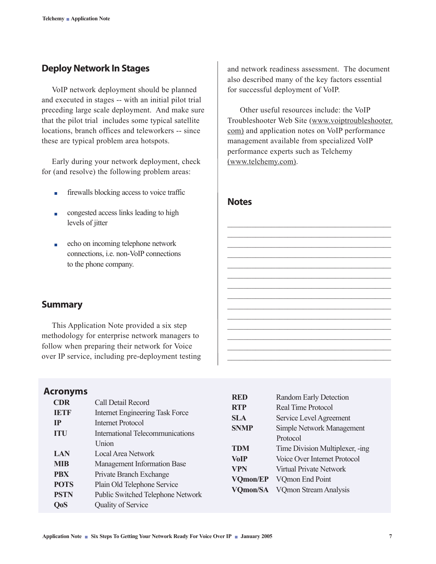# **Deploy Network In Stages**

VoIP network deployment should be planned and executed in stages -- with an initial pilot trial preceding large scale deployment. And make sure that the pilot trial includes some typical satellite locations, branch offices and teleworkers -- since these are typical problem area hotspots.

Early during your network deployment, check for (and resolve) the following problem areas:

- firewalls blocking access to voice traffic  $\overline{\phantom{a}}$
- congested access links leading to high **The Contract** levels of jitter
- echo on incoming telephone network  $\overline{\phantom{a}}$ connections, i.e. non-VoIP connections to the phone company.

and network readiness assessment. The document also described many of the key factors essential for successful deployment of VoIP.

 Other useful resources include: the VoIP Troubleshooter Web Site (www.voiptroubleshooter. com) and application notes on VoIP performance management available from specialized VoIP performance experts such as Telchemy (www.telchemy.com).

 $\mathcal{L}_\text{max}$  , and the set of the set of the set of the set of the set of the set of the set of the set of the set of the set of the set of the set of the set of the set of the set of the set of the set of the set of the \_\_\_\_\_\_\_\_\_\_\_\_\_\_\_\_\_\_\_\_\_\_\_\_\_\_\_\_\_\_\_\_\_\_\_\_\_\_\_\_\_  $\mathcal{L}_\text{max}$  , and the set of the set of the set of the set of the set of the set of the set of the set of the set of the set of the set of the set of the set of the set of the set of the set of the set of the set of the  $\overline{\phantom{a}}$  , and the contract of the contract of the contract of the contract of the contract of the contract of the contract of the contract of the contract of the contract of the contract of the contract of the contrac \_\_\_\_\_\_\_\_\_\_\_\_\_\_\_\_\_\_\_\_\_\_\_\_\_\_\_\_\_\_\_\_\_\_\_\_\_\_\_\_\_  $\overline{\phantom{a}}$  , and the contract of the contract of the contract of the contract of the contract of the contract of the contract of the contract of the contract of the contract of the contract of the contract of the contrac \_\_\_\_\_\_\_\_\_\_\_\_\_\_\_\_\_\_\_\_\_\_\_\_\_\_\_\_\_\_\_\_\_\_\_\_\_\_\_\_\_  $\overline{\phantom{a}}$  , and the contract of the contract of the contract of the contract of the contract of the contract of the contract of the contract of the contract of the contract of the contract of the contract of the contrac  $\overline{\phantom{a}}$  , and the contract of the contract of the contract of the contract of the contract of the contract of the contract of the contract of the contract of the contract of the contract of the contract of the contrac \_\_\_\_\_\_\_\_\_\_\_\_\_\_\_\_\_\_\_\_\_\_\_\_\_\_\_\_\_\_\_\_\_\_\_\_\_\_\_\_\_  $\overline{\phantom{a}}$  , and the contract of the contract of the contract of the contract of the contract of the contract of the contract of the contract of the contract of the contract of the contract of the contract of the contrac \_\_\_\_\_\_\_\_\_\_\_\_\_\_\_\_\_\_\_\_\_\_\_\_\_\_\_\_\_\_\_\_\_\_\_\_\_\_\_\_\_  $\overline{\phantom{a}}$  , and the contract of the contract of the contract of the contract of the contract of the contract of the contract of the contract of the contract of the contract of the contract of the contract of the contrac  $\overline{\phantom{a}}$  , and the contract of the contract of the contract of the contract of the contract of the contract of the contract of the contract of the contract of the contract of the contract of the contract of the contrac

### **Notes**

### **Summary**

This Application Note provided a six step methodology for enterprise network managers to follow when preparing their network for Voice over IP service, including pre-deployment testing

### **Acronyms**

|                  | . <i>.</i>  |                                         | <b>RED</b>      | <b>Random Early Detection</b>   |  |
|------------------|-------------|-----------------------------------------|-----------------|---------------------------------|--|
|                  | <b>CDR</b>  | Call Detail Record                      | <b>RTP</b>      | <b>Real Time Protocol</b>       |  |
|                  | <b>IETF</b> | <b>Internet Engineering Task Force</b>  |                 |                                 |  |
| IP<br><b>ITU</b> |             | <b>Internet Protocol</b>                | <b>SLA</b>      | Service Level Agreement         |  |
|                  |             |                                         | <b>SNMP</b>     | Simple Network Management       |  |
|                  |             | <b>International Telecommunications</b> |                 | Protocol                        |  |
|                  |             | <b>Union</b>                            | <b>TDM</b>      | Time Division Multiplexer, -ing |  |
| <b>LAN</b>       |             | Local Area Network                      | <b>VoIP</b>     | Voice Over Internet Protocol    |  |
|                  | <b>MIB</b>  | Management Information Base             | <b>VPN</b>      | <b>Virtual Private Network</b>  |  |
|                  | <b>PBX</b>  | Private Branch Exchange                 |                 |                                 |  |
|                  | <b>POTS</b> | Plain Old Telephone Service             | <b>VOmon/EP</b> | VQmon End Point                 |  |
|                  |             |                                         | <b>VOmon/SA</b> | <b>VQmon Stream Analysis</b>    |  |
|                  | <b>PSTN</b> | Public Switched Telephone Network       |                 |                                 |  |
|                  | <b>QoS</b>  | <b>Quality of Service</b>               |                 |                                 |  |
|                  |             |                                         |                 |                                 |  |